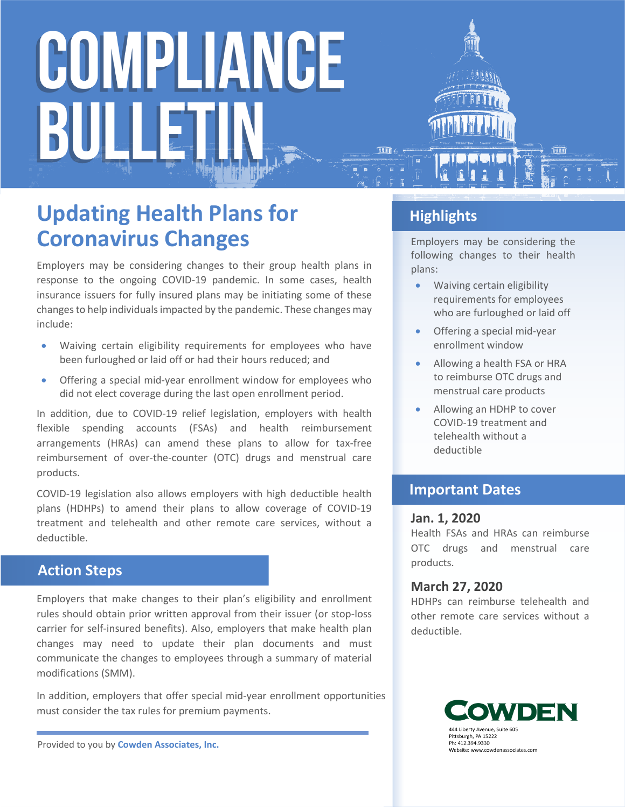# COMPLIANCE BULLET

### **Updating Health Plans for Coronavirus Changes**

Employers may be considering changes to their group health plans in response to the ongoing COVID-19 pandemic. In some cases, health insurance issuers for fully insured plans may be initiating some of these changes to help individuals impacted by the pandemic. These changes may include:

- Waiving certain eligibility requirements for employees who have been furloughed or laid off or had their hours reduced; and
- Offering a special mid-year enrollment window for employees who did not elect coverage during the last open enrollment period.

In addition, due to COVID-19 relief legislation, employers with health flexible spending accounts (FSAs) and health reimbursement arrangements (HRAs) can amend these plans to allow for tax-free reimbursement of over-the-counter (OTC) drugs and menstrual care products.

COVID-19 legislation also allows employers with high deductible health plans (HDHPs) to amend their plans to allow coverage of COVID-19 treatment and telehealth and other remote care services, without a deductible.

#### **Action Steps**

Employers that make changes to their plan's eligibility and enrollment rules should obtain prior written approval from their issuer (or stop-loss carrier for self-insured benefits). Also, employers that make health plan changes may need to update their plan documents and must communicate the changes to employees through a summary of material modifications (SMM).

In addition, employers that offer special mid-year enrollment opportunities must consider the tax rules for premium payments.

Provided to you by **Cowden Associates, Inc.**

#### **Highlights**

Employers may be considering the following changes to their health plans:

- Waiving certain eligibility requirements for employees who are furloughed or laid off
- Offering a special mid-year enrollment window
- Allowing a health FSA or HRA to reimburse OTC drugs and menstrual care products
- Allowing an HDHP to cover COVID-19 treatment and telehealth without a deductible

#### **Important Dates**

#### **Jan. 1, 2020**

Health FSAs and HRAs can reimburse OTC drugs and menstrual care products.

#### **March 27, 2020**

HDHPs can reimburse telehealth and other remote care services without a deductible.

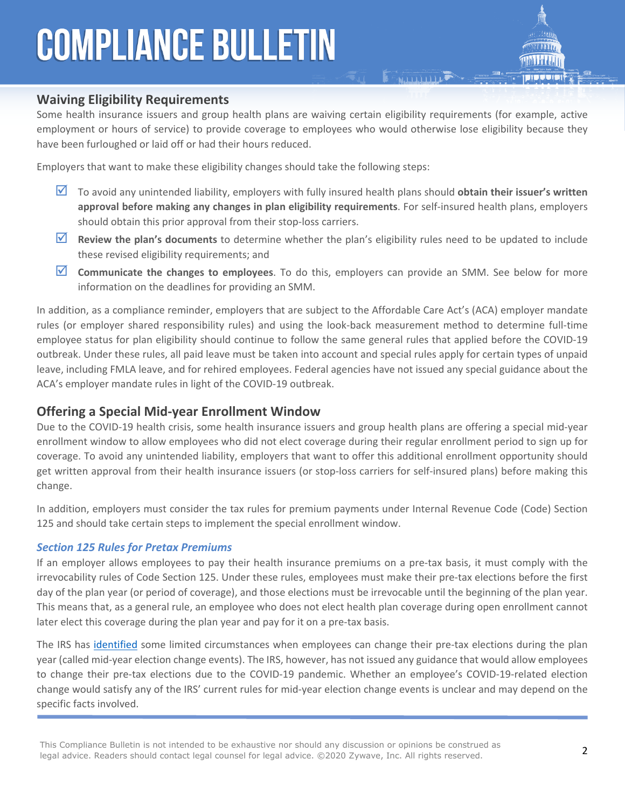## **COMPLIANCE BULLETIN**

#### **Waiving Eligibility Requirements**

Some health insurance issuers and group health plans are waiving certain eligibility requirements (for example, active employment or hours of service) to provide coverage to employees who would otherwise lose eligibility because they have been furloughed or laid off or had their hours reduced.

**E AND LITTLE** 

Employers that want to make these eligibility changes should take the following steps:

- To avoid any unintended liability, employers with fully insured health plans should **obtain their issuer's written approval before making any changes in plan eligibility requirements**. For self-insured health plans, employers should obtain this prior approval from their stop-loss carriers.
- **Review the plan's documents** to determine whether the plan's eligibility rules need to be updated to include these revised eligibility requirements; and
- **Communicate the changes to employees**. To do this, employers can provide an SMM. See below for more information on the deadlines for providing an SMM.

In addition, as a compliance reminder, employers that are subject to the Affordable Care Act's (ACA) employer mandate rules (or employer shared responsibility rules) and using the look-back measurement method to determine full-time employee status for plan eligibility should continue to follow the same general rules that applied before the COVID-19 outbreak. Under these rules, all paid leave must be taken into account and special rules apply for certain types of unpaid leave, including FMLA leave, and for rehired employees. Federal agencies have not issued any special guidance about the ACA's employer mandate rules in light of the COVID-19 outbreak.

#### **Offering a Special Mid-year Enrollment Window**

Due to the COVID-19 health crisis, some health insurance issuers and group health plans are offering a special mid-year enrollment window to allow employees who did not elect coverage during their regular enrollment period to sign up for coverage. To avoid any unintended liability, employers that want to offer this additional enrollment opportunity should get written approval from their health insurance issuers (or stop-loss carriers for self-insured plans) before making this change.

In addition, employers must consider the tax rules for premium payments under Internal Revenue Code (Code) Section 125 and should take certain steps to implement the special enrollment window.

#### *Section 125 Rules for Pretax Premiums*

If an employer allows employees to pay their health insurance premiums on a pre-tax basis, it must comply with the irrevocability rules of Code Section 125. Under these rules, employees must make their pre-tax elections before the first day of the plan year (or period of coverage), and those elections must be irrevocable until the beginning of the plan year. This means that, as a general rule, an employee who does not elect health plan coverage during open enrollment cannot later elect this coverage during the plan year and pay for it on a pre-tax basis.

The IRS has [identified](https://www.law.cornell.edu/cfr/text/26/1.125-4) some limited circumstances when employees can change their pre-tax elections during the plan year (called mid-year election change events). The IRS, however, has not issued any guidance that would allow employees to change their pre-tax elections due to the COVID-19 pandemic. Whether an employee's COVID-19-related election change would satisfy any of the IRS' current rules for mid-year election change events is unclear and may depend on the specific facts involved.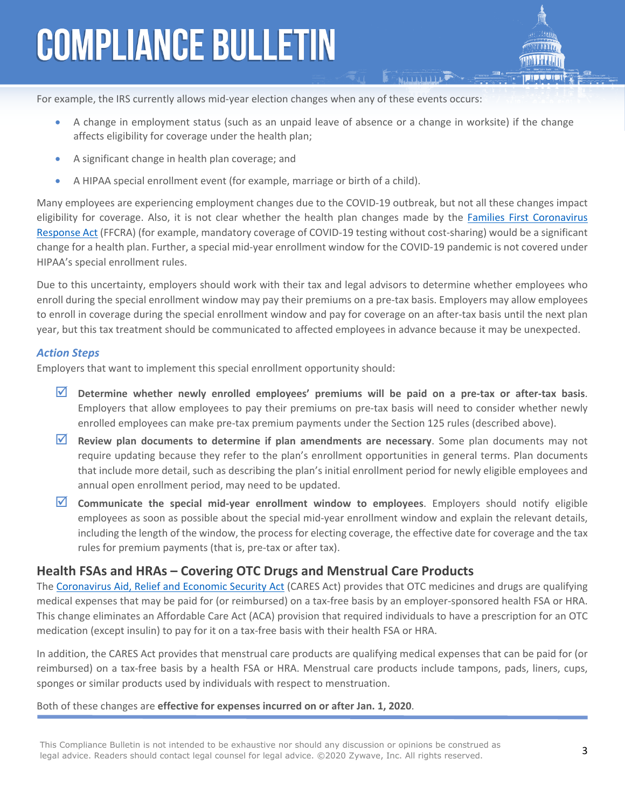## **COMPLIANCE BULLETIN**

For example, the IRS currently allows mid-year election changes when any of these events occurs:

- A change in employment status (such as an unpaid leave of absence or a change in worksite) if the change affects eligibility for coverage under the health plan;
- A significant change in health plan coverage; and
- A HIPAA special enrollment event (for example, marriage or birth of a child).

Many employees are experiencing employment changes due to the COVID-19 outbreak, but not all these changes impact eligibility for coverage. Also, it is not clear whether the health plan changes made by the [Families First Coronavirus](https://www.congress.gov/116/bills/hr6201/BILLS-116hr6201enr.pdf)  [Response Act](https://www.congress.gov/116/bills/hr6201/BILLS-116hr6201enr.pdf) (FFCRA) (for example, mandatory coverage of COVID-19 testing without cost-sharing) would be a significant change for a health plan. Further, a special mid-year enrollment window for the COVID-19 pandemic is not covered under HIPAA's special enrollment rules.

Due to this uncertainty, employers should work with their tax and legal advisors to determine whether employees who enroll during the special enrollment window may pay their premiums on a pre-tax basis. Employers may allow employees to enroll in coverage during the special enrollment window and pay for coverage on an after-tax basis until the next plan year, but this tax treatment should be communicated to affected employees in advance because it may be unexpected.

#### *Action Steps*

Employers that want to implement this special enrollment opportunity should:

- **Determine whether newly enrolled employees' premiums will be paid on a pre-tax or after-tax basis**. Employers that allow employees to pay their premiums on pre-tax basis will need to consider whether newly enrolled employees can make pre-tax premium payments under the Section 125 rules (described above).
- **Review plan documents to determine if plan amendments are necessary**. Some plan documents may not require updating because they refer to the plan's enrollment opportunities in general terms. Plan documents that include more detail, such as describing the plan's initial enrollment period for newly eligible employees and annual open enrollment period, may need to be updated.
- **Communicate the special mid-year enrollment window to employees**. Employers should notify eligible employees as soon as possible about the special mid-year enrollment window and explain the relevant details, including the length of the window, the process for electing coverage, the effective date for coverage and the tax rules for premium payments (that is, pre-tax or after tax).

#### **Health FSAs and HRAs – Covering OTC Drugs and Menstrual Care Products**

The [Coronavirus Aid, Relief and Economic Security Act](https://www.congress.gov/bill/116th-congress/house-bill/748/text) (CARES Act) provides that OTC medicines and drugs are qualifying medical expenses that may be paid for (or reimbursed) on a tax-free basis by an employer-sponsored health FSA or HRA. This change eliminates an Affordable Care Act (ACA) provision that required individuals to have a prescription for an OTC medication (except insulin) to pay for it on a tax-free basis with their health FSA or HRA.

In addition, the CARES Act provides that menstrual care products are qualifying medical expenses that can be paid for (or reimbursed) on a tax-free basis by a health FSA or HRA. Menstrual care products include tampons, pads, liners, cups, sponges or similar products used by individuals with respect to menstruation.

#### Both of these changes are **effective for expenses incurred on or after Jan. 1, 2020**.

This Compliance Bulletin is not intended to be exhaustive nor should any discussion or opinions be construed as legal advice. Readers should contact legal counsel for legal advice. ©2020 Zywave, Inc. All rights reserved.